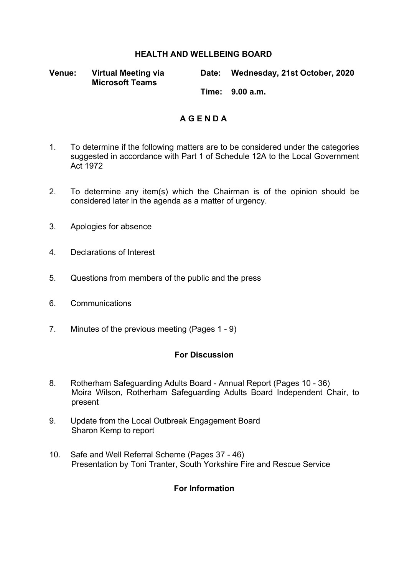## **HEALTH AND WELLBEING BOARD**

**Venue: Virtual Meeting via Microsoft Teams**

**Date: Wednesday, 21st October, 2020**

**Time: 9.00 a.m.**

# **A G E N D A**

- 1. To determine if the following matters are to be considered under the categories suggested in accordance with Part 1 of Schedule 12A to the Local Government Act 1972
- 2. To determine any item(s) which the Chairman is of the opinion should be considered later in the agenda as a matter of urgency.
- 3. Apologies for absence
- 4. Declarations of Interest
- 5. Questions from members of the public and the press
- 6. Communications
- 7. Minutes of the previous meeting (Pages 1 9)

#### **For Discussion**

- 8. Rotherham Safeguarding Adults Board Annual Report (Pages 10 36) Moira Wilson, Rotherham Safeguarding Adults Board Independent Chair, to present
- 9. Update from the Local Outbreak Engagement Board Sharon Kemp to report
- 10. Safe and Well Referral Scheme (Pages 37 46) Presentation by Toni Tranter, South Yorkshire Fire and Rescue Service

#### **For Information**